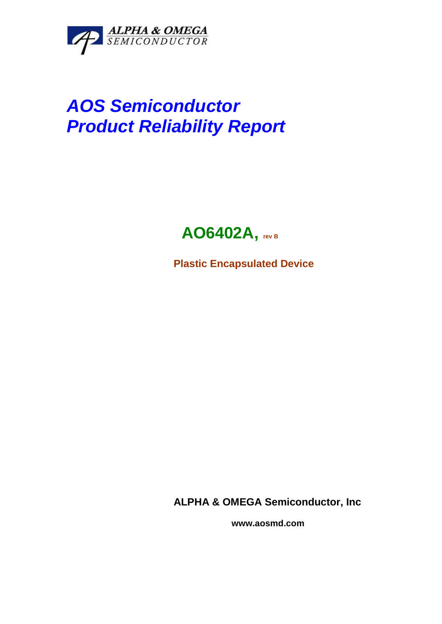

# *AOS Semiconductor Product Reliability Report*



**Plastic Encapsulated Device**

**ALPHA & OMEGA Semiconductor, Inc**

 **www.aosmd.com**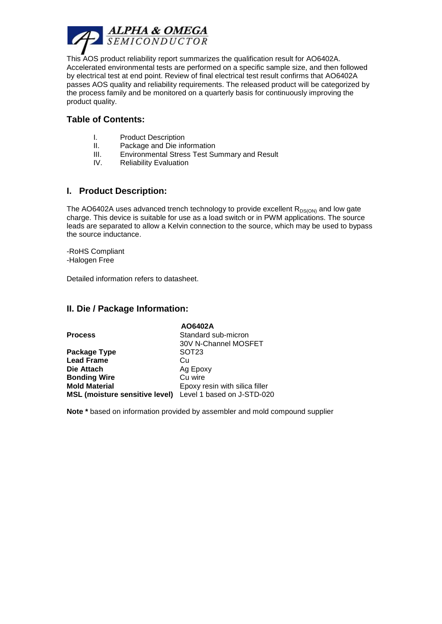

This AOS product reliability report summarizes the qualification result for AO6402A. Accelerated environmental tests are performed on a specific sample size, and then followed by electrical test at end point. Review of final electrical test result confirms that AO6402A passes AOS quality and reliability requirements. The released product will be categorized by the process family and be monitored on a quarterly basis for continuously improving the product quality.

#### **Table of Contents:**

- I. Product Description
- II. Package and Die information
- III. Environmental Stress Test Summary and Result
- IV. Reliability Evaluation

#### **I. Product Description:**

The AO6402A uses advanced trench technology to provide excellent  $R_{DS(ON)}$  and low gate charge. This device is suitable for use as a load switch or in PWM applications. The source leads are separated to allow a Kelvin connection to the source, which may be used to bypass the source inductance.

-RoHS Compliant -Halogen Free

Detailed information refers to datasheet.

#### **II. Die / Package Information:**

|                                                           | AO6402A                        |
|-----------------------------------------------------------|--------------------------------|
| <b>Process</b>                                            | Standard sub-micron            |
|                                                           | 30V N-Channel MOSFET           |
| Package Type                                              | SOT <sub>23</sub>              |
| <b>Lead Frame</b>                                         | Cu                             |
| Die Attach                                                | Ag Epoxy                       |
| <b>Bonding Wire</b>                                       | Cu wire                        |
| <b>Mold Material</b>                                      | Epoxy resin with silica filler |
| MSL (moisture sensitive level) Level 1 based on J-STD-020 |                                |

**Note \*** based on information provided by assembler and mold compound supplier